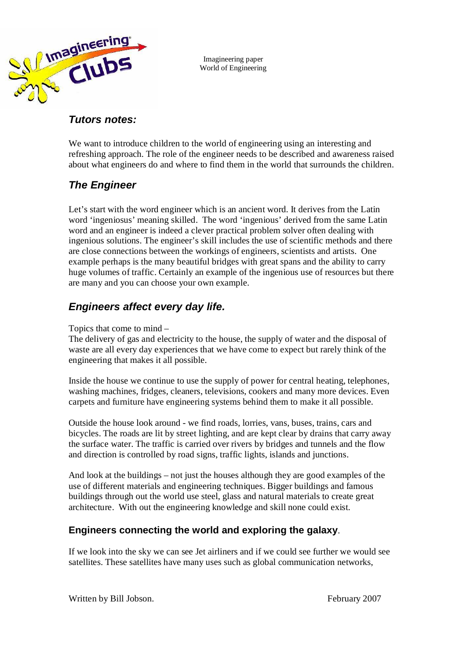

Imagineering paper World of Engineering

## **Tutors notes:**

We want to introduce children to the world of engineering using an interesting and refreshing approach. The role of the engineer needs to be described and awareness raised about what engineers do and where to find them in the world that surrounds the children.

# **The Engineer**

Let's start with the word engineer which is an ancient word. It derives from the Latin word 'ingeniosus' meaning skilled. The word 'ingenious' derived from the same Latin word and an engineer is indeed a clever practical problem solver often dealing with ingenious solutions. The engineer's skill includes the use of scientific methods and there are close connections between the workings of engineers, scientists and artists. One example perhaps is the many beautiful bridges with great spans and the ability to carry huge volumes of traffic. Certainly an example of the ingenious use of resources but there are many and you can choose your own example.

## **Engineers affect every day life.**

Topics that come to mind –

The delivery of gas and electricity to the house, the supply of water and the disposal of waste are all every day experiences that we have come to expect but rarely think of the engineering that makes it all possible.

Inside the house we continue to use the supply of power for central heating, telephones, washing machines, fridges, cleaners, televisions, cookers and many more devices. Even carpets and furniture have engineering systems behind them to make it all possible.

Outside the house look around - we find roads, lorries, vans, buses, trains, cars and bicycles. The roads are lit by street lighting, and are kept clear by drains that carry away the surface water. The traffic is carried over rivers by bridges and tunnels and the flow and direction is controlled by road signs, traffic lights, islands and junctions.

And look at the buildings – not just the houses although they are good examples of the use of different materials and engineering techniques. Bigger buildings and famous buildings through out the world use steel, glass and natural materials to create great architecture. With out the engineering knowledge and skill none could exist.

### **Engineers connecting the world and exploring the galaxy**.

If we look into the sky we can see Jet airliners and if we could see further we would see satellites. These satellites have many uses such as global communication networks,

Written by Bill Jobson. The state of the set of the set of the set of the set of the set of the set of the set of the set of the set of the set of the set of the set of the set of the set of the set of the set of the set o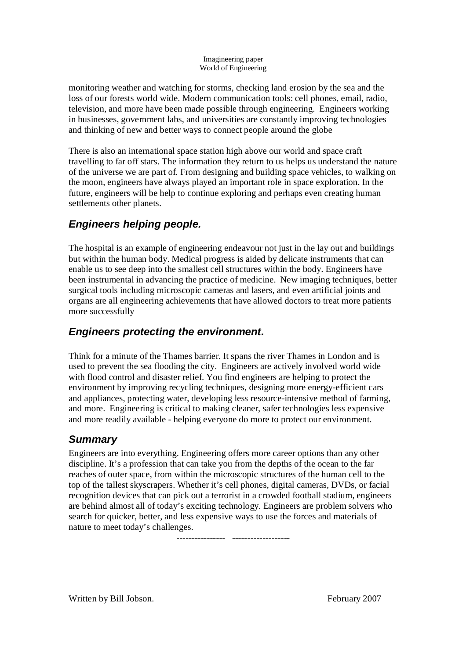#### Imagineering paper World of Engineering

monitoring weather and watching for storms, checking land erosion by the sea and the loss of our forests world wide. Modern communication tools: cell phones, email, radio, television, and more have been made possible through engineering. Engineers working in businesses, government labs, and universities are constantly improving technologies and thinking of new and better ways to connect people around the globe

There is also an international space station high above our world and space craft travelling to far off stars. The information they return to us helps us understand the nature of the universe we are part of. From designing and building space vehicles, to walking on the moon, engineers have always played an important role in space exploration. In the future, engineers will be help to continue exploring and perhaps even creating human settlements other planets.

# **Engineers helping people.**

The hospital is an example of engineering endeavour not just in the lay out and buildings but within the human body. Medical progress is aided by delicate instruments that can enable us to see deep into the smallest cell structures within the body. Engineers have been instrumental in advancing the practice of medicine. New imaging techniques, better surgical tools including microscopic cameras and lasers, and even artificial joints and organs are all engineering achievements that have allowed doctors to treat more patients more successfully

## **Engineers protecting the environment.**

Think for a minute of the Thames barrier. It spans the river Thames in London and is used to prevent the sea flooding the city. Engineers are actively involved world wide with flood control and disaster relief. You find engineers are helping to protect the environment by improving recycling techniques, designing more energy-efficient cars and appliances, protecting water, developing less resource-intensive method of farming, and more. Engineering is critical to making cleaner, safer technologies less expensive and more readily available - helping everyone do more to protect our environment.

# **Summary**

Engineers are into everything. Engineering offers more career options than any other discipline. It's a profession that can take you from the depths of the ocean to the far reaches of outer space, from within the microscopic structures of the human cell to the top of the tallest skyscrapers. Whether it's cell phones, digital cameras, DVDs, or facial recognition devices that can pick out a terrorist in a crowded football stadium, engineers are behind almost all of today's exciting technology. Engineers are problem solvers who search for quicker, better, and less expensive ways to use the forces and materials of nature to meet today's challenges.

---------------- -------------------